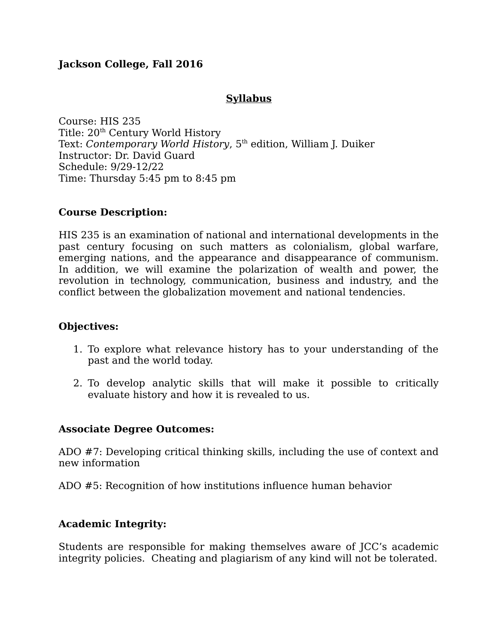# **Jackson College, Fall 2016**

# **Syllabus**

Course: HIS 235 Title: 20<sup>th</sup> Century World History Text: *Contemporary World History*, 5<sup>th</sup> edition, William J. Duiker Instructor: Dr. David Guard Schedule: 9/29-12/22 Time: Thursday 5:45 pm to 8:45 pm

## **Course Description:**

HIS 235 is an examination of national and international developments in the past century focusing on such matters as colonialism, global warfare, emerging nations, and the appearance and disappearance of communism. In addition, we will examine the polarization of wealth and power, the revolution in technology, communication, business and industry, and the conflict between the globalization movement and national tendencies.

#### **Objectives:**

- 1. To explore what relevance history has to your understanding of the past and the world today.
- 2. To develop analytic skills that will make it possible to critically evaluate history and how it is revealed to us.

## **Associate Degree Outcomes:**

ADO #7: Developing critical thinking skills, including the use of context and new information

ADO #5: Recognition of how institutions influence human behavior

## **Academic Integrity:**

Students are responsible for making themselves aware of JCC's academic integrity policies. Cheating and plagiarism of any kind will not be tolerated.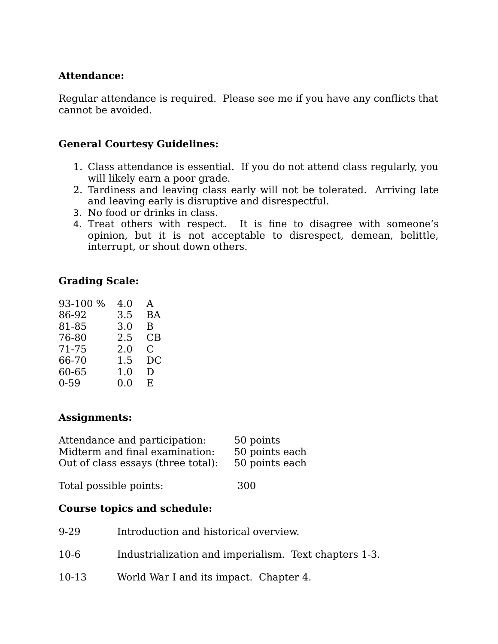# **Attendance:**

Regular attendance is required. Please see me if you have any conflicts that cannot be avoided.

# **General Courtesy Guidelines:**

- 1. Class attendance is essential. If you do not attend class regularly, you will likely earn a poor grade.
- 2. Tardiness and leaving class early will not be tolerated. Arriving late and leaving early is disruptive and disrespectful.
- 3. No food or drinks in class.
- 4. Treat others with respect. It is fine to disagree with someone's opinion, but it is not acceptable to disrespect, demean, belittle, interrupt, or shout down others.

# **Grading Scale:**

| 93-100 % | 4.0     | A         |
|----------|---------|-----------|
| 86-92    | 3.5     | <b>BA</b> |
| 81-85    | 3.0     | B         |
| 76-80    | 2.5     | CB        |
| 71-75    | 2.0     | C.        |
| 66-70    | 1.5     | DС        |
| 60-65    | $1.0\,$ | D         |
| $0 - 59$ | 0.0     | E.        |

## **Assignments:**

| Attendance and participation:      | 50 points      |
|------------------------------------|----------------|
| Midterm and final examination:     | 50 points each |
| Out of class essays (three total): | 50 points each |
|                                    |                |

Total possible points: 300

## **Course topics and schedule:**

| 9-29   | Introduction and historical overview.                 |
|--------|-------------------------------------------------------|
| $10-6$ | Industrialization and imperialism. Text chapters 1-3. |
| 10-13  | World War I and its impact. Chapter 4.                |